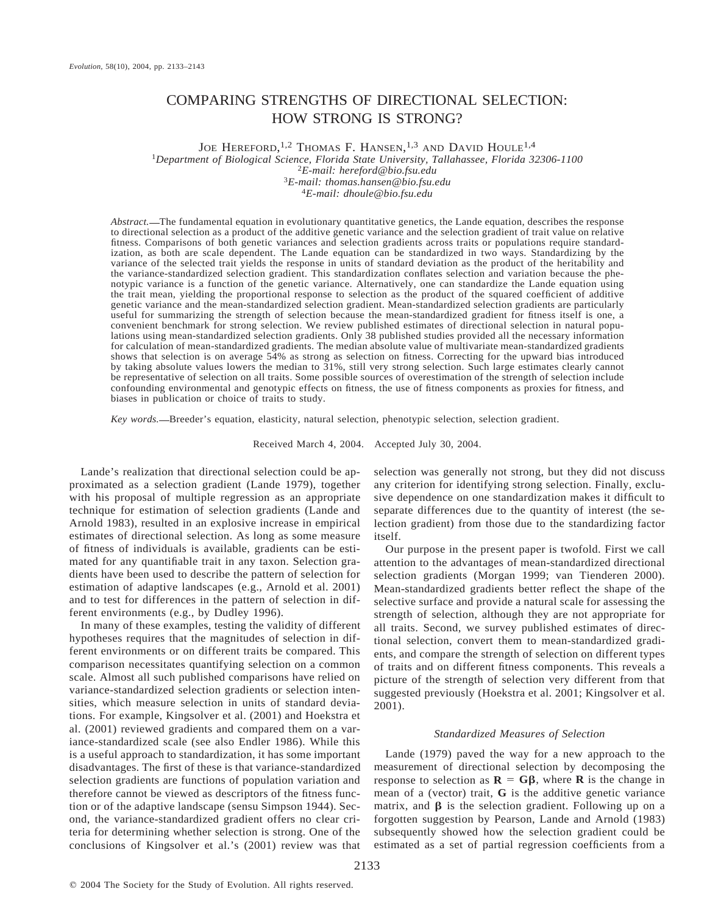# COMPARING STRENGTHS OF DIRECTIONAL SELECTION: HOW STRONG IS STRONG?

JOE HEREFORD,<sup>1,2</sup> THOMAS F. HANSEN,<sup>1,3</sup> AND DAVID HOULE<sup>1,4</sup> <sup>1</sup>*Department of Biological Science, Florida State University, Tallahassee, Florida 32306-1100* <sup>2</sup>*E-mail: hereford@bio.fsu.edu* <sup>3</sup>*E-mail: thomas.hansen@bio.fsu.edu* <sup>4</sup>*E-mail: dhoule@bio.fsu.edu*

*Abstract.* The fundamental equation in evolutionary quantitative genetics, the Lande equation, describes the response to directional selection as a product of the additive genetic variance and the selection gradient of trait value on relative fitness. Comparisons of both genetic variances and selection gradients across traits or populations require standardization, as both are scale dependent. The Lande equation can be standardized in two ways. Standardizing by the variance of the selected trait yields the response in units of standard deviation as the product of the heritability and the variance-standardized selection gradient. This standardization conflates selection and variation because the phenotypic variance is a function of the genetic variance. Alternatively, one can standardize the Lande equation using the trait mean, yielding the proportional response to selection as the product of the squared coefficient of additive genetic variance and the mean-standardized selection gradient. Mean-standardized selection gradients are particularly useful for summarizing the strength of selection because the mean-standardized gradient for fitness itself is one, a convenient benchmark for strong selection. We review published estimates of directional selection in natural populations using mean-standardized selection gradients. Only 38 published studies provided all the necessary information for calculation of mean-standardized gradients. The median absolute value of multivariate mean-standardized gradients shows that selection is on average 54% as strong as selection on fitness. Correcting for the upward bias introduced by taking absolute values lowers the median to 31%, still very strong selection. Such large estimates clearly cannot be representative of selection on all traits. Some possible sources of overestimation of the strength of selection include confounding environmental and genotypic effects on fitness, the use of fitness components as proxies for fitness, and biases in publication or choice of traits to study.

*Key words.* Breeder's equation, elasticity, natural selection, phenotypic selection, selection gradient.

Received March 4, 2004. Accepted July 30, 2004.

Lande's realization that directional selection could be approximated as a selection gradient (Lande 1979), together with his proposal of multiple regression as an appropriate technique for estimation of selection gradients (Lande and Arnold 1983), resulted in an explosive increase in empirical estimates of directional selection. As long as some measure of fitness of individuals is available, gradients can be estimated for any quantifiable trait in any taxon. Selection gradients have been used to describe the pattern of selection for estimation of adaptive landscapes (e.g., Arnold et al. 2001) and to test for differences in the pattern of selection in different environments (e.g., by Dudley 1996).

In many of these examples, testing the validity of different hypotheses requires that the magnitudes of selection in different environments or on different traits be compared. This comparison necessitates quantifying selection on a common scale. Almost all such published comparisons have relied on variance-standardized selection gradients or selection intensities, which measure selection in units of standard deviations. For example, Kingsolver et al. (2001) and Hoekstra et al. (2001) reviewed gradients and compared them on a variance-standardized scale (see also Endler 1986). While this is a useful approach to standardization, it has some important disadvantages. The first of these is that variance-standardized selection gradients are functions of population variation and therefore cannot be viewed as descriptors of the fitness function or of the adaptive landscape (sensu Simpson 1944). Second, the variance-standardized gradient offers no clear criteria for determining whether selection is strong. One of the conclusions of Kingsolver et al.'s (2001) review was that selection was generally not strong, but they did not discuss any criterion for identifying strong selection. Finally, exclusive dependence on one standardization makes it difficult to separate differences due to the quantity of interest (the selection gradient) from those due to the standardizing factor itself.

Our purpose in the present paper is twofold. First we call attention to the advantages of mean-standardized directional selection gradients (Morgan 1999; van Tienderen 2000). Mean-standardized gradients better reflect the shape of the selective surface and provide a natural scale for assessing the strength of selection, although they are not appropriate for all traits. Second, we survey published estimates of directional selection, convert them to mean-standardized gradients, and compare the strength of selection on different types of traits and on different fitness components. This reveals a picture of the strength of selection very different from that suggested previously (Hoekstra et al. 2001; Kingsolver et al. 2001).

### *Standardized Measures of Selection*

Lande (1979) paved the way for a new approach to the measurement of directional selection by decomposing the response to selection as  $\mathbf{R} = \mathbf{G}\boldsymbol{\beta}$ , where **R** is the change in mean of a (vector) trait, **G** is the additive genetic variance matrix, and  $\beta$  is the selection gradient. Following up on a forgotten suggestion by Pearson, Lande and Arnold (1983) subsequently showed how the selection gradient could be estimated as a set of partial regression coefficients from a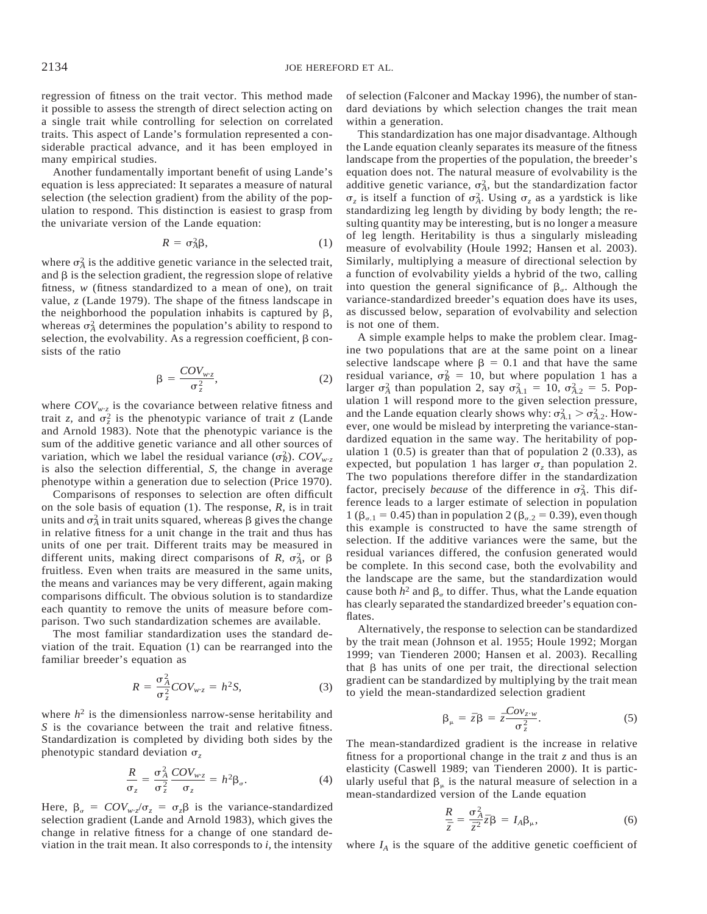regression of fitness on the trait vector. This method made it possible to assess the strength of direct selection acting on a single trait while controlling for selection on correlated traits. This aspect of Lande's formulation represented a considerable practical advance, and it has been employed in many empirical studies.

Another fundamentally important benefit of using Lande's equation is less appreciated: It separates a measure of natural selection (the selection gradient) from the ability of the population to respond. This distinction is easiest to grasp from the univariate version of the Lande equation:

$$
R = \sigma_A^2 \beta, \tag{1}
$$

where  $\sigma_A^2$  is the additive genetic variance in the selected trait, and  $\beta$  is the selection gradient, the regression slope of relative fitness, *w* (fitness standardized to a mean of one), on trait value, *z* (Lande 1979). The shape of the fitness landscape in the neighborhood the population inhabits is captured by  $\beta$ , whereas  $\sigma_A^2$  determines the population's ability to respond to selection, the evolvability. As a regression coefficient,  $\beta$  consists of the ratio

$$
\beta = \frac{COV_{w:z}}{\sigma_z^2},\tag{2}
$$

where  $COV_{wz}$  is the covariance between relative fitness and trait *z*, and  $\sigma_z^2$  is the phenotypic variance of trait *z* (Lande and Arnold 1983). Note that the phenotypic variance is the sum of the additive genetic variance and all other sources of variation, which we label the residual variance  $(\sigma_R^2)$ .  $COV_{w}$ is also the selection differential, *S,* the change in average phenotype within a generation due to selection (Price 1970).

Comparisons of responses to selection are often difficult on the sole basis of equation (1). The response, *R,* is in trait units and  $\sigma_A^2$  in trait units squared, whereas  $\beta$  gives the change in relative fitness for a unit change in the trait and thus has units of one per trait. Different traits may be measured in different units, making direct comparisons of *R*,  $\sigma_A^2$ , or  $\beta$ fruitless. Even when traits are measured in the same units, the means and variances may be very different, again making comparisons difficult. The obvious solution is to standardize each quantity to remove the units of measure before comparison. Two such standardization schemes are available.

The most familiar standardization uses the standard deviation of the trait. Equation (1) can be rearranged into the familiar breeder's equation as

$$
R = \frac{\sigma_A^2}{\sigma_z^2} COV_{w \cdot z} = h^2 S,\tag{3}
$$

where  $h^2$  is the dimensionless narrow-sense heritability and *S* is the covariance between the trait and relative fitness. Standardization is completed by dividing both sides by the phenotypic standard deviation  $\sigma_z$ 

$$
\frac{R}{\sigma_z} = \frac{\sigma_A^2}{\sigma_z^2} \frac{COV_{wz}}{\sigma_z} = h^2 \beta_\sigma.
$$
 (4)

Here,  $\beta_{\sigma} = COV_{wz}/\sigma_z = \sigma_z \beta$  is the variance-standardized selection gradient (Lande and Arnold 1983), which gives the change in relative fitness for a change of one standard deviation in the trait mean. It also corresponds to *i,* the intensity of selection (Falconer and Mackay 1996), the number of standard deviations by which selection changes the trait mean within a generation.

This standardization has one major disadvantage. Although the Lande equation cleanly separates its measure of the fitness landscape from the properties of the population, the breeder's equation does not. The natural measure of evolvability is the additive genetic variance,  $\sigma_A^2$ , but the standardization factor  $\sigma_z$  is itself a function of  $\sigma_A^2$ . Using  $\sigma_z$  as a yardstick is like standardizing leg length by dividing by body length; the resulting quantity may be interesting, but is no longer a measure of leg length. Heritability is thus a singularly misleading measure of evolvability (Houle 1992; Hansen et al. 2003). Similarly, multiplying a measure of directional selection by a function of evolvability yields a hybrid of the two, calling into question the general significance of  $\beta_{\sigma}$ . Although the variance-standardized breeder's equation does have its uses, as discussed below, separation of evolvability and selection is not one of them.

A simple example helps to make the problem clear. Imagine two populations that are at the same point on a linear selective landscape where  $\beta = 0.1$  and that have the same residual variance,  $\sigma_R^2 = 10$ , but where population 1 has a larger  $\sigma_A^2$  than population 2, say  $\sigma_{A.1}^2 = 10$ ,  $\sigma_{A.2}^2 = 5$ . Population 1 will respond more to the given selection pressure, and the Lande equation clearly shows why:  $\sigma_{A,1}^2 > \sigma_{A,2}^2$ . However, one would be mislead by interpreting the variance-standardized equation in the same way. The heritability of population 1  $(0.5)$  is greater than that of population 2  $(0.33)$ , as expected, but population 1 has larger  $\sigma$ <sub>z</sub> than population 2. The two populations therefore differ in the standardization factor, precisely *because* of the difference in  $\sigma_A^2$ . This difference leads to a larger estimate of selection in population 1 ( $\beta_{\sigma,1}$  = 0.45) than in population 2 ( $\beta_{\sigma,2}$  = 0.39), even though this example is constructed to have the same strength of selection. If the additive variances were the same, but the residual variances differed, the confusion generated would be complete. In this second case, both the evolvability and the landscape are the same, but the standardization would cause both  $h^2$  and  $\beta_\sigma$  to differ. Thus, what the Lande equation has clearly separated the standardized breeder's equation conflates.

Alternatively, the response to selection can be standardized by the trait mean (Johnson et al. 1955; Houle 1992; Morgan 1999; van Tienderen 2000; Hansen et al. 2003). Recalling that  $\beta$  has units of one per trait, the directional selection gradient can be standardized by multiplying by the trait mean to yield the mean-standardized selection gradient

$$
\beta_{\mu} = \bar{z}\beta = \bar{z}\frac{Cov_{z\cdot w}}{\sigma_z^2}.
$$
 (5)

The mean-standardized gradient is the increase in relative fitness for a proportional change in the trait *z* and thus is an elasticity (Caswell 1989; van Tienderen 2000). It is particularly useful that  $\beta_{\mu}$  is the natural measure of selection in a mean-standardized version of the Lande equation

$$
\frac{R}{\bar{z}} = \frac{\sigma_A^2}{\bar{z}^2} \bar{z} \beta = I_A \beta_\mu, \tag{6}
$$

where  $I_A$  is the square of the additive genetic coefficient of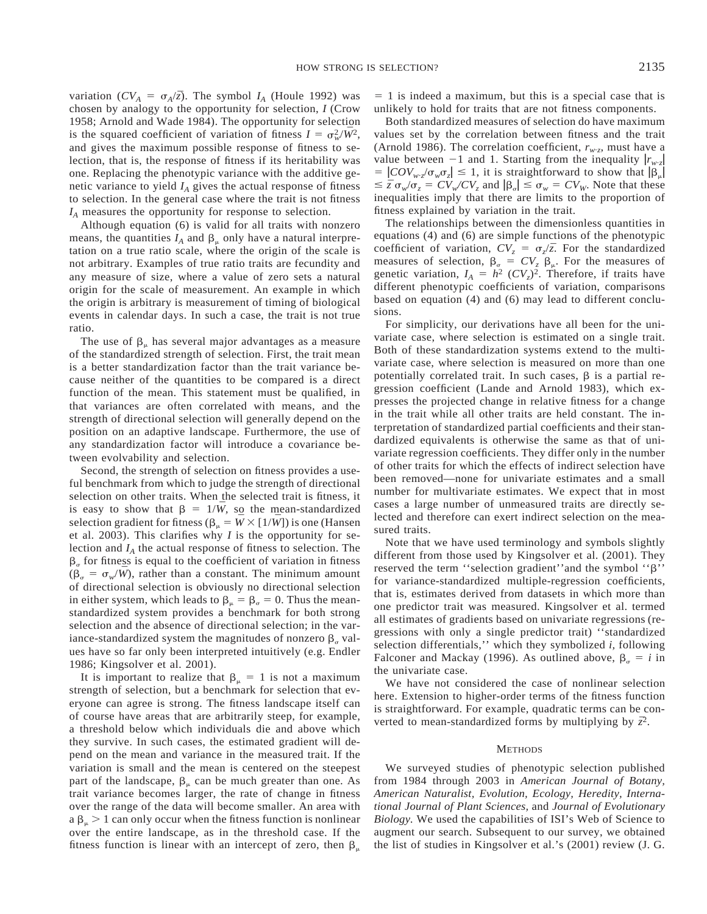variation ( $CV_A = \sigma_A/\bar{z}$ ). The symbol  $I_A$  (Houle 1992) was chosen by analogy to the opportunity for selection, *I* (Crow 1958; Arnold and Wade 1984). The opportunity for selection is the squared coefficient of variation of fitness  $I = \sigma_w^2/\bar{W}^2$ , and gives the maximum possible response of fitness to selection, that is, the response of fitness if its heritability was one. Replacing the phenotypic variance with the additive genetic variance to yield  $I_A$  gives the actual response of fitness to selection. In the general case where the trait is not fitness *IA* measures the opportunity for response to selection.

Although equation (6) is valid for all traits with nonzero means, the quantities  $I_A$  and  $\beta_{\mu}$  only have a natural interpretation on a true ratio scale, where the origin of the scale is not arbitrary. Examples of true ratio traits are fecundity and any measure of size, where a value of zero sets a natural origin for the scale of measurement. An example in which the origin is arbitrary is measurement of timing of biological events in calendar days. In such a case, the trait is not true ratio.

The use of  $\beta_{\mu}$  has several major advantages as a measure of the standardized strength of selection. First, the trait mean is a better standardization factor than the trait variance because neither of the quantities to be compared is a direct function of the mean. This statement must be qualified, in that variances are often correlated with means, and the strength of directional selection will generally depend on the position on an adaptive landscape. Furthermore, the use of any standardization factor will introduce a covariance between evolvability and selection.

Second, the strength of selection on fitness provides a useful benchmark from which to judge the strength of directional selection on other traits. When the selected trait is fitness, it is easy to show that  $\beta = 1/\bar{W}$ , so the mean-standardized selection gradient for fitness ( $\beta_{\mu} = \bar{W} \times [1/\bar{W}]$ ) is one (Hansen et al. 2003). This clarifies why *I* is the opportunity for selection and *IA* the actual response of fitness to selection. The  $\beta_{\sigma}$  for fitness is equal to the coefficient of variation in fitness  $(\beta_{\sigma} = \sigma_{w}/\bar{W})$ , rather than a constant. The minimum amount of directional selection is obviously no directional selection in either system, which leads to  $\beta_{\mu} = \beta_{\sigma} = 0$ . Thus the meanstandardized system provides a benchmark for both strong selection and the absence of directional selection; in the variance-standardized system the magnitudes of nonzero  $\beta_{\sigma}$  values have so far only been interpreted intuitively (e.g. Endler 1986; Kingsolver et al. 2001).

It is important to realize that  $\beta_{\mu} = 1$  is not a maximum strength of selection, but a benchmark for selection that everyone can agree is strong. The fitness landscape itself can of course have areas that are arbitrarily steep, for example, a threshold below which individuals die and above which they survive. In such cases, the estimated gradient will depend on the mean and variance in the measured trait. If the variation is small and the mean is centered on the steepest part of the landscape,  $\beta_{\mu}$  can be much greater than one. As trait variance becomes larger, the rate of change in fitness over the range of the data will become smaller. An area with  $a \beta_{\mu} > 1$  can only occur when the fitness function is nonlinear over the entire landscape, as in the threshold case. If the fitness function is linear with an intercept of zero, then  $\beta_{\rm m}$   $= 1$  is indeed a maximum, but this is a special case that is unlikely to hold for traits that are not fitness components.

Both standardized measures of selection do have maximum values set by the correlation between fitness and the trait (Arnold 1986). The correlation coefficient,  $r_{wz}$ , must have a value between  $-1$  and 1. Starting from the inequality  $|r_{w,z}|$  $= |COV_{wz}/\sigma_w\sigma_z| \leq 1$ , it is straightforward to show that  $|\beta_w|$  $\leq \bar{z} \sigma_w / \sigma_z = CV_w / CV_z$  and  $|\beta_{\sigma}| \leq \sigma_w = CV_w$ . Note that these inequalities imply that there are limits to the proportion of fitness explained by variation in the trait.

The relationships between the dimensionless quantities in equations (4) and (6) are simple functions of the phenotypic coefficient of variation,  $CV_z = \sigma_z/\bar{z}$ . For the standardized measures of selection,  $\beta_{\sigma} = CV_z \beta_{\mu}$ . For the measures of genetic variation,  $I_A = h^2$  ( $CV_z$ )<sup>2</sup>. Therefore, if traits have different phenotypic coefficients of variation, comparisons based on equation (4) and (6) may lead to different conclusions.

For simplicity, our derivations have all been for the univariate case, where selection is estimated on a single trait. Both of these standardization systems extend to the multivariate case, where selection is measured on more than one potentially correlated trait. In such cases,  $\beta$  is a partial regression coefficient (Lande and Arnold 1983), which expresses the projected change in relative fitness for a change in the trait while all other traits are held constant. The interpretation of standardized partial coefficients and their standardized equivalents is otherwise the same as that of univariate regression coefficients. They differ only in the number of other traits for which the effects of indirect selection have been removed—none for univariate estimates and a small number for multivariate estimates. We expect that in most cases a large number of unmeasured traits are directly selected and therefore can exert indirect selection on the measured traits.

Note that we have used terminology and symbols slightly different from those used by Kingsolver et al. (2001). They reserved the term "selection gradient" and the symbol " $\beta$ " for variance-standardized multiple-regression coefficients, that is, estimates derived from datasets in which more than one predictor trait was measured. Kingsolver et al. termed all estimates of gradients based on univariate regressions (regressions with only a single predictor trait) ''standardized selection differentials,'' which they symbolized *i,* following Falconer and Mackay (1996). As outlined above,  $\beta_{\sigma} = i$  in the univariate case.

We have not considered the case of nonlinear selection here. Extension to higher-order terms of the fitness function is straightforward. For example, quadratic terms can be converted to mean-standardized forms by multiplying by  $\bar{z}^2$ .

### **METHODS**

We surveyed studies of phenotypic selection published from 1984 through 2003 in *American Journal of Botany, American Naturalist, Evolution, Ecology, Heredity, International Journal of Plant Sciences,* and *Journal of Evolutionary Biology.* We used the capabilities of ISI's Web of Science to augment our search. Subsequent to our survey, we obtained the list of studies in Kingsolver et al.'s (2001) review (J. G.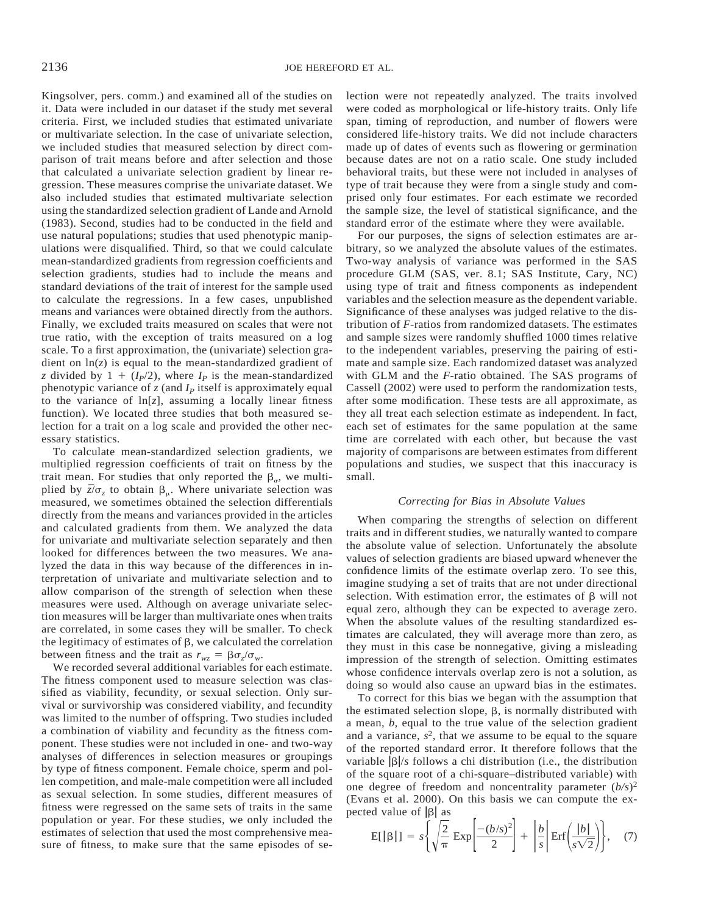Kingsolver, pers. comm.) and examined all of the studies on it. Data were included in our dataset if the study met several criteria. First, we included studies that estimated univariate or multivariate selection. In the case of univariate selection, we included studies that measured selection by direct comparison of trait means before and after selection and those that calculated a univariate selection gradient by linear regression. These measures comprise the univariate dataset. We also included studies that estimated multivariate selection using the standardized selection gradient of Lande and Arnold (1983). Second, studies had to be conducted in the field and use natural populations; studies that used phenotypic manipulations were disqualified. Third, so that we could calculate mean-standardized gradients from regression coefficients and selection gradients, studies had to include the means and standard deviations of the trait of interest for the sample used to calculate the regressions. In a few cases, unpublished means and variances were obtained directly from the authors. Finally, we excluded traits measured on scales that were not true ratio, with the exception of traits measured on a log scale. To a first approximation, the (univariate) selection gradient on  $ln(z)$  is equal to the mean-standardized gradient of *z* divided by  $1 + (I_p/2)$ , where  $I_p$  is the mean-standardized phenotypic variance of  $z$  (and  $I<sub>P</sub>$  itself is approximately equal to the variance of  $ln[z]$ , assuming a locally linear fitness function). We located three studies that both measured selection for a trait on a log scale and provided the other necessary statistics.

To calculate mean-standardized selection gradients, we multiplied regression coefficients of trait on fitness by the trait mean. For studies that only reported the  $\beta_{\alpha}$ , we multiplied by  $\bar{z}/\sigma_z$  to obtain  $\beta_{\mu}$ . Where univariate selection was measured, we sometimes obtained the selection differentials directly from the means and variances provided in the articles and calculated gradients from them. We analyzed the data for univariate and multivariate selection separately and then looked for differences between the two measures. We analyzed the data in this way because of the differences in interpretation of univariate and multivariate selection and to allow comparison of the strength of selection when these measures were used. Although on average univariate selection measures will be larger than multivariate ones when traits are correlated, in some cases they will be smaller. To check the legitimacy of estimates of  $\beta$ , we calculated the correlation between fitness and the trait as  $r_{wz} = \beta \sigma_z / \sigma_w$ .

We recorded several additional variables for each estimate. The fitness component used to measure selection was classified as viability, fecundity, or sexual selection. Only survival or survivorship was considered viability, and fecundity was limited to the number of offspring. Two studies included a combination of viability and fecundity as the fitness component. These studies were not included in one- and two-way analyses of differences in selection measures or groupings by type of fitness component. Female choice, sperm and pollen competition, and male-male competition were all included as sexual selection. In some studies, different measures of fitness were regressed on the same sets of traits in the same population or year. For these studies, we only included the estimates of selection that used the most comprehensive measure of fitness, to make sure that the same episodes of selection were not repeatedly analyzed. The traits involved were coded as morphological or life-history traits. Only life span, timing of reproduction, and number of flowers were considered life-history traits. We did not include characters made up of dates of events such as flowering or germination because dates are not on a ratio scale. One study included behavioral traits, but these were not included in analyses of type of trait because they were from a single study and comprised only four estimates. For each estimate we recorded the sample size, the level of statistical significance, and the standard error of the estimate where they were available.

For our purposes, the signs of selection estimates are arbitrary, so we analyzed the absolute values of the estimates. Two-way analysis of variance was performed in the SAS procedure GLM (SAS, ver. 8.1; SAS Institute, Cary, NC) using type of trait and fitness components as independent variables and the selection measure as the dependent variable. Significance of these analyses was judged relative to the distribution of *F*-ratios from randomized datasets. The estimates and sample sizes were randomly shuffled 1000 times relative to the independent variables, preserving the pairing of estimate and sample size. Each randomized dataset was analyzed with GLM and the *F*-ratio obtained. The SAS programs of Cassell (2002) were used to perform the randomization tests, after some modification. These tests are all approximate, as they all treat each selection estimate as independent. In fact, each set of estimates for the same population at the same time are correlated with each other, but because the vast majority of comparisons are between estimates from different populations and studies, we suspect that this inaccuracy is small.

### *Correcting for Bias in Absolute Values*

When comparing the strengths of selection on different traits and in different studies, we naturally wanted to compare the absolute value of selection. Unfortunately the absolute values of selection gradients are biased upward whenever the confidence limits of the estimate overlap zero. To see this, imagine studying a set of traits that are not under directional selection. With estimation error, the estimates of  $\beta$  will not equal zero, although they can be expected to average zero. When the absolute values of the resulting standardized estimates are calculated, they will average more than zero, as they must in this case be nonnegative, giving a misleading impression of the strength of selection. Omitting estimates whose confidence intervals overlap zero is not a solution, as doing so would also cause an upward bias in the estimates.

To correct for this bias we began with the assumption that the estimated selection slope,  $\beta$ , is normally distributed with a mean, *b,* equal to the true value of the selection gradient and a variance, *s*2, that we assume to be equal to the square of the reported standard error. It therefore follows that the variable  $\left|\beta\right|$ /*s* follows a chi distribution (i.e., the distribution of the square root of a chi-square–distributed variable) with one degree of freedom and noncentrality parameter (*b/s*)2 (Evans et al. 2000). On this basis we can compute the expected value of  $|\beta|$  as

$$
E[|\beta|] = s \left\{ \sqrt{\frac{2}{\pi}} \exp \left[ \frac{-(b/s)^2}{2} \right] + \left| \frac{b}{s} \right| \mathrm{Erf} \left( \frac{|b|}{s\sqrt{2}} \right) \right\}, \quad (7)
$$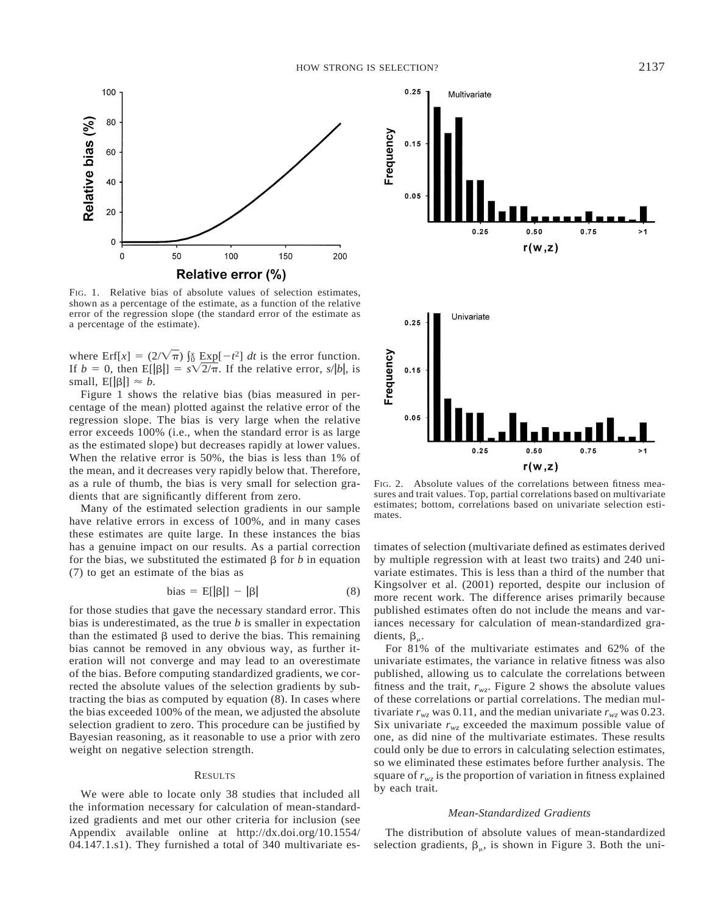

FIG. 1. Relative bias of absolute values of selection estimates, shown as a percentage of the estimate, as a function of the relative error of the regression slope (the standard error of the estimate as a percentage of the estimate).

where Erf[x] =  $\left(2/\sqrt{\pi}\right) \int_0^x \frac{\text{Exp}}{\text{Exp}}[-t^2] dt$  is the error function. If  $b = 0$ , then  $E[|\beta|] = s\sqrt{2/\pi}$ . If the relative error,  $s/|b|$ , is small,  $E[|\beta|] \approx b$ .

Figure 1 shows the relative bias (bias measured in percentage of the mean) plotted against the relative error of the regression slope. The bias is very large when the relative error exceeds 100% (i.e., when the standard error is as large as the estimated slope) but decreases rapidly at lower values. When the relative error is 50%, the bias is less than 1% of the mean, and it decreases very rapidly below that. Therefore, as a rule of thumb, the bias is very small for selection gradients that are significantly different from zero.

Many of the estimated selection gradients in our sample have relative errors in excess of 100%, and in many cases these estimates are quite large. In these instances the bias has a genuine impact on our results. As a partial correction for the bias, we substituted the estimated  $\beta$  for *b* in equation (7) to get an estimate of the bias as

$$
bias = E[|\beta|] - |\beta| \tag{8}
$$

for those studies that gave the necessary standard error. This bias is underestimated, as the true *b* is smaller in expectation than the estimated  $\beta$  used to derive the bias. This remaining bias cannot be removed in any obvious way, as further iteration will not converge and may lead to an overestimate of the bias. Before computing standardized gradients, we corrected the absolute values of the selection gradients by subtracting the bias as computed by equation (8). In cases where the bias exceeded 100% of the mean, we adjusted the absolute selection gradient to zero. This procedure can be justified by Bayesian reasoning, as it reasonable to use a prior with zero weight on negative selection strength.

### RESULTS

We were able to locate only 38 studies that included all the information necessary for calculation of mean-standardized gradients and met our other criteria for inclusion (see Appendix available online at http://dx.doi.org/10.1554/ 04.147.1.s1). They furnished a total of 340 multivariate es-



FIG. 2. Absolute values of the correlations between fitness measures and trait values. Top, partial correlations based on multivariate estimates; bottom, correlations based on univariate selection estimates.

timates of selection (multivariate defined as estimates derived by multiple regression with at least two traits) and 240 univariate estimates. This is less than a third of the number that Kingsolver et al. (2001) reported, despite our inclusion of more recent work. The difference arises primarily because published estimates often do not include the means and variances necessary for calculation of mean-standardized gradients,  $\beta_{\mu}$ .

For 81% of the multivariate estimates and 62% of the univariate estimates, the variance in relative fitness was also published, allowing us to calculate the correlations between fitness and the trait,  $r_{wz}$ . Figure 2 shows the absolute values of these correlations or partial correlations. The median multivariate  $r_{wz}$  was 0.11, and the median univariate  $r_{wz}$  was 0.23. Six univariate  $r_{wz}$  exceeded the maximum possible value of one, as did nine of the multivariate estimates. These results could only be due to errors in calculating selection estimates, so we eliminated these estimates before further analysis. The square of *rwz* is the proportion of variation in fitness explained by each trait.

### *Mean-Standardized Gradients*

The distribution of absolute values of mean-standardized selection gradients,  $\beta_{\mu}$ , is shown in Figure 3. Both the uni-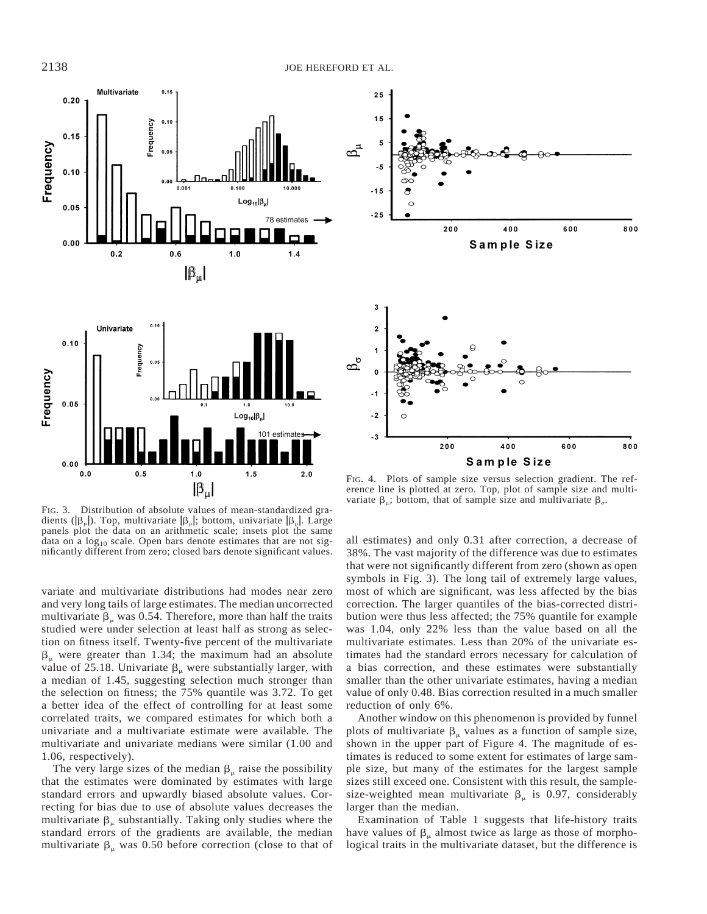



FIG. 3. Distribution of absolute values of mean-standardized gradients ( $\beta_{\mu}$ ). Top, multivariate  $\beta_{\mu}$ ; bottom, univariate  $\beta_{\mu}$ . Large panels plot the data on an arithmetic scale; insets plot the same data on a  $log_{10}$  scale. Open bars denote estimates that are not significantly different from zero; closed bars denote significant values.

variate and multivariate distributions had modes near zero and very long tails of large estimates. The median uncorrected multivariate  $\beta_{\mu}$  was 0.54. Therefore, more than half the traits studied were under selection at least half as strong as selection on fitness itself. Twenty-five percent of the multivariate  $\beta_{\mu}$  were greater than 1.34; the maximum had an absolute value of 25.18. Univariate  $\beta_{\mu}$  were substantially larger, with a median of 1.45, suggesting selection much stronger than the selection on fitness; the 75% quantile was 3.72. To get a better idea of the effect of controlling for at least some correlated traits, we compared estimates for which both a univariate and a multivariate estimate were available. The multivariate and univariate medians were similar (1.00 and 1.06, respectively).

The very large sizes of the median  $\beta_{\mu}$  raise the possibility that the estimates were dominated by estimates with large standard errors and upwardly biased absolute values. Correcting for bias due to use of absolute values decreases the multivariate  $\beta_{\mu}$  substantially. Taking only studies where the standard errors of the gradients are available, the median multivariate  $\beta_{\mu}$  was 0.50 before correction (close to that of

FIG. 4. Plots of sample size versus selection gradient. The reference line is plotted at zero. Top, plot of sample size and multivariate  $\beta_{\mu}$ ; bottom, that of sample size and multivariate  $\beta_{\sigma}$ .

all estimates) and only 0.31 after correction, a decrease of 38%. The vast majority of the difference was due to estimates that were not significantly different from zero (shown as open symbols in Fig. 3). The long tail of extremely large values, most of which are significant, was less affected by the bias correction. The larger quantiles of the bias-corrected distribution were thus less affected; the 75% quantile for example was 1.04, only 22% less than the value based on all the multivariate estimates. Less than 20% of the univariate estimates had the standard errors necessary for calculation of a bias correction, and these estimates were substantially smaller than the other univariate estimates, having a median value of only 0.48. Bias correction resulted in a much smaller reduction of only 6%.

Another window on this phenomenon is provided by funnel plots of multivariate  $\beta_{\mu}$  values as a function of sample size, shown in the upper part of Figure 4. The magnitude of estimates is reduced to some extent for estimates of large sample size, but many of the estimates for the largest sample sizes still exceed one. Consistent with this result, the samplesize-weighted mean multivariate  $\beta_{\mu}$  is 0.97, considerably larger than the median.

Examination of Table 1 suggests that life-history traits have values of  $\beta_{\mu}$  almost twice as large as those of morphological traits in the multivariate dataset, but the difference is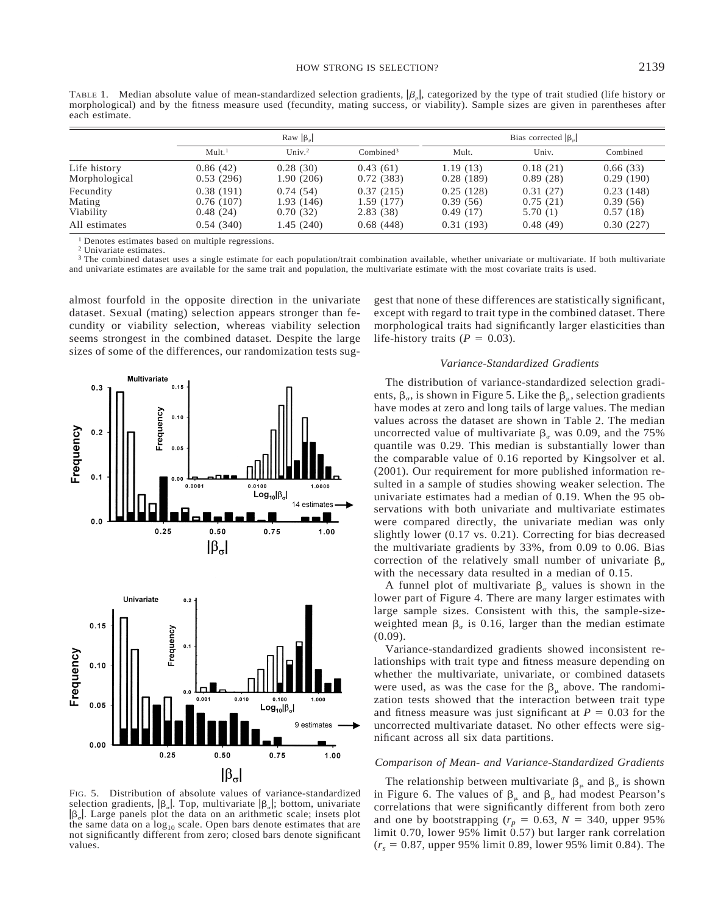TABLE 1. Median absolute value of mean-standardized selection gradients,  $\beta_{\mu}$ , categorized by the type of trait studied (life history or morphological) and by the fitness measure used (fecundity, mating success, or viability). Sample sizes are given in parentheses after each estimate.

|                                  | Raw $ \beta_{\shortparallel} $     |                                   |                                     | Bias corrected $ \beta_{\cdot} $  |                                 |                                   |
|----------------------------------|------------------------------------|-----------------------------------|-------------------------------------|-----------------------------------|---------------------------------|-----------------------------------|
|                                  | Mult. <sup>1</sup>                 | Univ. $2$                         | Combined <sup>3</sup>               | Mult.                             | Univ.                           | Combined                          |
| Life history<br>Morphological    | 0.86(42)<br>0.53(296)              | 0.28(30)<br>1.90(206)             | 0.43(61)<br>0.72(383)               | 1.19(13)<br>0.28(189)             | 0.18(21)<br>0.89(28)            | 0.66(33)<br>0.29(190)             |
| Fecundity<br>Mating<br>Viability | 0.38(191)<br>0.76(107)<br>0.48(24) | 0.74(54)<br>1.93(146)<br>0.70(32) | 0.37(215)<br>1.59 (177)<br>2.83(38) | 0.25(128)<br>0.39(56)<br>0.49(17) | 0.31(27)<br>0.75(21)<br>5.70(1) | 0.23(148)<br>0.39(56)<br>0.57(18) |
| All estimates                    | 0.54(340)                          | 1.45(240)                         | 0.68(448)                           | 0.31(193)                         | 0.48(49)                        | 0.30(227)                         |

<sup>1</sup> Denotes estimates based on multiple regressions.

<sup>2</sup> Univariate estimates.

 $3$  The combined dataset uses a single estimate for each population/trait combination available, whether univariate or multivariate. If both multivariate and univariate estimates are available for the same trait and population, the multivariate estimate with the most covariate traits is used.

almost fourfold in the opposite direction in the univariate dataset. Sexual (mating) selection appears stronger than fecundity or viability selection, whereas viability selection seems strongest in the combined dataset. Despite the large sizes of some of the differences, our randomization tests sug-



FIG. 5. Distribution of absolute values of variance-standardized selection gradients,  $\left|\beta_{\sigma}\right|$ . Top, multivariate  $\left|\beta_{\sigma}\right|$ ; bottom, univariate  $|\beta_{\sigma}|$ . Large panels plot the data on an arithmetic scale; insets plot the same data on a  $log_{10}$  scale. Open bars denote estimates that are not significantly different from zero; closed bars denote significant values.

gest that none of these differences are statistically significant, except with regard to trait type in the combined dataset. There morphological traits had significantly larger elasticities than life-history traits  $(P = 0.03)$ .

## *Variance-Standardized Gradients*

The distribution of variance-standardized selection gradients,  $\beta_{\sigma}$ , is shown in Figure 5. Like the  $\beta_{\mu}$ , selection gradients have modes at zero and long tails of large values. The median values across the dataset are shown in Table 2. The median uncorrected value of multivariate  $\beta_{\sigma}$  was 0.09, and the 75% quantile was 0.29. This median is substantially lower than the comparable value of 0.16 reported by Kingsolver et al. (2001). Our requirement for more published information resulted in a sample of studies showing weaker selection. The univariate estimates had a median of 0.19. When the 95 observations with both univariate and multivariate estimates were compared directly, the univariate median was only slightly lower (0.17 vs. 0.21). Correcting for bias decreased the multivariate gradients by 33%, from 0.09 to 0.06. Bias correction of the relatively small number of univariate  $\beta_{\sigma}$ with the necessary data resulted in a median of 0.15.

A funnel plot of multivariate  $\beta_{\sigma}$  values is shown in the lower part of Figure 4. There are many larger estimates with large sample sizes. Consistent with this, the sample-sizeweighted mean  $\beta<sub>\alpha</sub>$  is 0.16, larger than the median estimate (0.09).

Variance-standardized gradients showed inconsistent relationships with trait type and fitness measure depending on whether the multivariate, univariate, or combined datasets were used, as was the case for the  $\beta_{\mu}$  above. The randomization tests showed that the interaction between trait type and fitness measure was just significant at  $P = 0.03$  for the uncorrected multivariate dataset. No other effects were significant across all six data partitions.

# *Comparison of Mean- and Variance-Standardized Gradients*

The relationship between multivariate  $\beta_n$  and  $\beta_n$  is shown in Figure 6. The values of  $\beta_{\mu}$  and  $\beta_{\sigma}$  had modest Pearson's correlations that were significantly different from both zero and one by bootstrapping ( $r_p = 0.63$ ,  $N = 340$ , upper 95% limit 0.70, lower  $95\%$  limit 0.57) but larger rank correlation  $(r_s = 0.87$ , upper 95% limit 0.89, lower 95% limit 0.84). The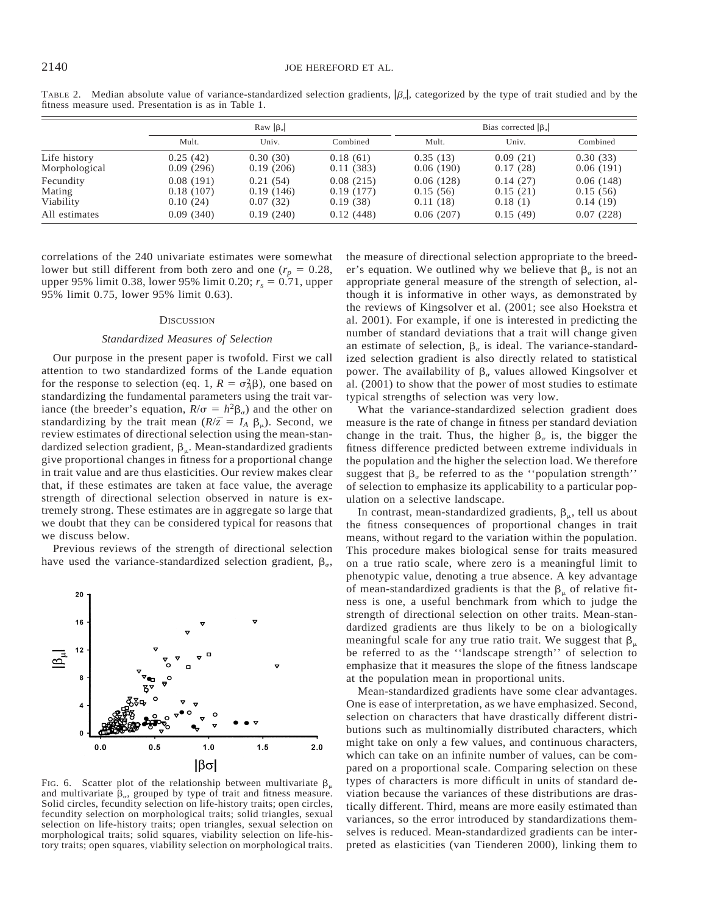|                                  |                                    | Raw $ \beta_{\alpha} $            |                                    |                                   | Bias corrected $ \beta_n $      |                                   |  |
|----------------------------------|------------------------------------|-----------------------------------|------------------------------------|-----------------------------------|---------------------------------|-----------------------------------|--|
|                                  | Mult.                              | Univ.                             | Combined                           | Mult.                             | Univ.                           | Combined                          |  |
| Life history<br>Morphological    | 0.25(42)<br>0.09(296)              | 0.30(30)<br>0.19(206)             | 0.18(61)<br>0.11(383)              | 0.35(13)<br>0.06(190)             | 0.09(21)<br>0.17(28)            | 0.30(33)<br>0.06(191)             |  |
| Fecundity<br>Mating<br>Viability | 0.08(191)<br>0.18(107)<br>0.10(24) | 0.21(54)<br>0.19(146)<br>0.07(32) | 0.08(215)<br>0.19(177)<br>0.19(38) | 0.06(128)<br>0.15(56)<br>0.11(18) | 0.14(27)<br>0.15(21)<br>0.18(1) | 0.06(148)<br>0.15(56)<br>0.14(19) |  |
| All estimates                    | 0.09(340)                          | 0.19(240)                         | 0.12(448)                          | 0.06(207)                         | 0.15(49)                        | 0.07(228)                         |  |

TABLE 2. Median absolute value of variance-standardized selection gradients,  $|\beta_{\alpha}|$ , categorized by the type of trait studied and by the fitness measure used. Presentation is as in Table 1.

correlations of the 240 univariate estimates were somewhat lower but still different from both zero and one ( $r_p = 0.28$ , upper 95% limit 0.38, lower 95% limit 0.20;  $r_s = 0.71$ , upper 95% limit 0.75, lower 95% limit 0.63).

#### **DISCUSSION**

### *Standardized Measures of Selection*

Our purpose in the present paper is twofold. First we call attention to two standardized forms of the Lande equation for the response to selection (eq. 1,  $R = \sigma_A^2 \beta$ ), one based on standardizing the fundamental parameters using the trait variance (the breeder's equation,  $R/\sigma = h^2\beta_\sigma$ ) and the other on standardizing by the trait mean  $(R/\bar{z}) = I_A \beta_\mu$ ). Second, we review estimates of directional selection using the mean-standardized selection gradient,  $\beta_{\mu}$ . Mean-standardized gradients give proportional changes in fitness for a proportional change in trait value and are thus elasticities. Our review makes clear that, if these estimates are taken at face value, the average strength of directional selection observed in nature is extremely strong. These estimates are in aggregate so large that we doubt that they can be considered typical for reasons that we discuss below.

Previous reviews of the strength of directional selection have used the variance-standardized selection gradient,  $\beta_{\sigma}$ ,



FIG. 6. Scatter plot of the relationship between multivariate  $\beta_{\rm m}$ and multivariate  $\beta_{\sigma}$ , grouped by type of trait and fitness measure. Solid circles, fecundity selection on life-history traits; open circles, fecundity selection on morphological traits; solid triangles, sexual selection on life-history traits; open triangles, sexual selection on morphological traits; solid squares, viability selection on life-history traits; open squares, viability selection on morphological traits.

the measure of directional selection appropriate to the breeder's equation. We outlined why we believe that  $\beta_{\sigma}$  is not an appropriate general measure of the strength of selection, although it is informative in other ways, as demonstrated by the reviews of Kingsolver et al. (2001; see also Hoekstra et al. 2001). For example, if one is interested in predicting the number of standard deviations that a trait will change given an estimate of selection,  $\beta_{\sigma}$  is ideal. The variance-standardized selection gradient is also directly related to statistical power. The availability of  $\beta_{\sigma}$  values allowed Kingsolver et al. (2001) to show that the power of most studies to estimate typical strengths of selection was very low.

What the variance-standardized selection gradient does measure is the rate of change in fitness per standard deviation change in the trait. Thus, the higher  $\beta_{\sigma}$  is, the bigger the fitness difference predicted between extreme individuals in the population and the higher the selection load. We therefore suggest that  $\beta_{\sigma}$  be referred to as the "population strength" of selection to emphasize its applicability to a particular population on a selective landscape.

In contrast, mean-standardized gradients,  $\beta_{\mu}$ , tell us about the fitness consequences of proportional changes in trait means, without regard to the variation within the population. This procedure makes biological sense for traits measured on a true ratio scale, where zero is a meaningful limit to phenotypic value, denoting a true absence. A key advantage of mean-standardized gradients is that the  $\beta_{\mu}$  of relative fitness is one, a useful benchmark from which to judge the strength of directional selection on other traits. Mean-standardized gradients are thus likely to be on a biologically meaningful scale for any true ratio trait. We suggest that  $\beta_{\mu}$ be referred to as the ''landscape strength'' of selection to emphasize that it measures the slope of the fitness landscape at the population mean in proportional units.

Mean-standardized gradients have some clear advantages. One is ease of interpretation, as we have emphasized. Second, selection on characters that have drastically different distributions such as multinomially distributed characters, which might take on only a few values, and continuous characters, which can take on an infinite number of values, can be compared on a proportional scale. Comparing selection on these types of characters is more difficult in units of standard deviation because the variances of these distributions are drastically different. Third, means are more easily estimated than variances, so the error introduced by standardizations themselves is reduced. Mean-standardized gradients can be interpreted as elasticities (van Tienderen 2000), linking them to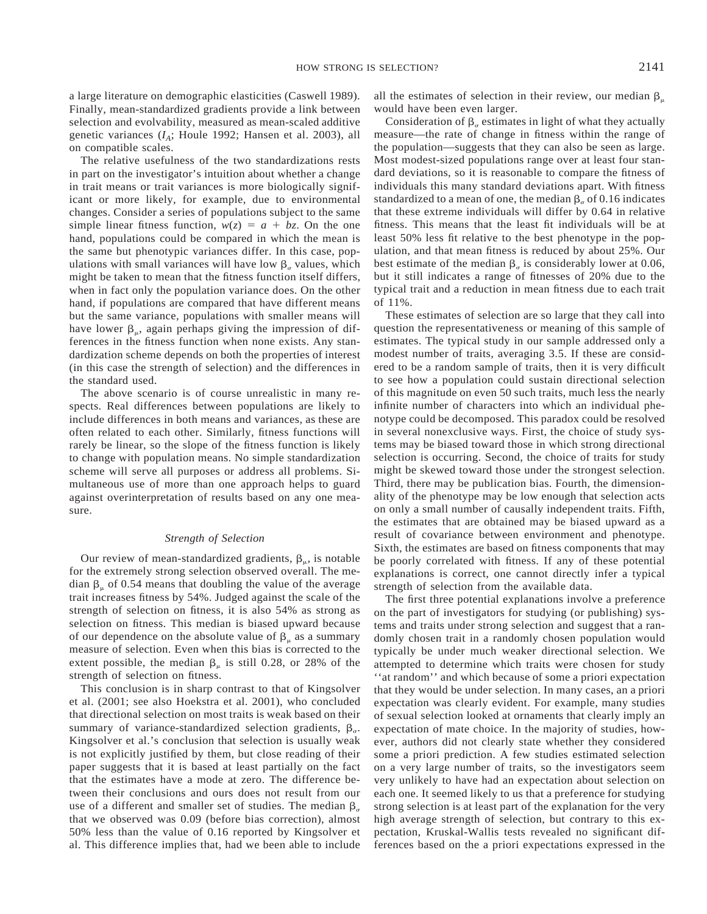a large literature on demographic elasticities (Caswell 1989). Finally, mean-standardized gradients provide a link between selection and evolvability, measured as mean-scaled additive genetic variances (*IA*; Houle 1992; Hansen et al. 2003), all on compatible scales.

The relative usefulness of the two standardizations rests in part on the investigator's intuition about whether a change in trait means or trait variances is more biologically significant or more likely, for example, due to environmental changes. Consider a series of populations subject to the same simple linear fitness function,  $w(z) = a + bz$ . On the one hand, populations could be compared in which the mean is the same but phenotypic variances differ. In this case, populations with small variances will have low  $\beta_{\sigma}$  values, which might be taken to mean that the fitness function itself differs, when in fact only the population variance does. On the other hand, if populations are compared that have different means but the same variance, populations with smaller means will have lower  $\beta_{\mu}$ , again perhaps giving the impression of differences in the fitness function when none exists. Any standardization scheme depends on both the properties of interest (in this case the strength of selection) and the differences in the standard used.

The above scenario is of course unrealistic in many respects. Real differences between populations are likely to include differences in both means and variances, as these are often related to each other. Similarly, fitness functions will rarely be linear, so the slope of the fitness function is likely to change with population means. No simple standardization scheme will serve all purposes or address all problems. Simultaneous use of more than one approach helps to guard against overinterpretation of results based on any one measure.

### *Strength of Selection*

Our review of mean-standardized gradients,  $\beta_{\mu}$ , is notable for the extremely strong selection observed overall. The median  $\beta_{\rm m}$  of 0.54 means that doubling the value of the average trait increases fitness by 54%. Judged against the scale of the strength of selection on fitness, it is also 54% as strong as selection on fitness. This median is biased upward because of our dependence on the absolute value of  $\beta_{\mu}$  as a summary measure of selection. Even when this bias is corrected to the extent possible, the median  $\beta_{\mu}$  is still 0.28, or 28% of the strength of selection on fitness.

This conclusion is in sharp contrast to that of Kingsolver et al. (2001; see also Hoekstra et al. 2001), who concluded that directional selection on most traits is weak based on their summary of variance-standardized selection gradients,  $\beta_{\sigma}$ . Kingsolver et al.'s conclusion that selection is usually weak is not explicitly justified by them, but close reading of their paper suggests that it is based at least partially on the fact that the estimates have a mode at zero. The difference between their conclusions and ours does not result from our use of a different and smaller set of studies. The median  $\beta_{\sigma}$ that we observed was 0.09 (before bias correction), almost 50% less than the value of 0.16 reported by Kingsolver et al. This difference implies that, had we been able to include

all the estimates of selection in their review, our median  $\beta_{\rm m}$ would have been even larger.

Consideration of  $\beta_{\sigma}$  estimates in light of what they actually measure—the rate of change in fitness within the range of the population—suggests that they can also be seen as large. Most modest-sized populations range over at least four standard deviations, so it is reasonable to compare the fitness of individuals this many standard deviations apart. With fitness standardized to a mean of one, the median  $\beta_{\sigma}$  of 0.16 indicates that these extreme individuals will differ by 0.64 in relative fitness. This means that the least fit individuals will be at least 50% less fit relative to the best phenotype in the population, and that mean fitness is reduced by about 25%. Our best estimate of the median  $\beta_{\sigma}$  is considerably lower at 0.06, but it still indicates a range of fitnesses of 20% due to the typical trait and a reduction in mean fitness due to each trait of 11%.

These estimates of selection are so large that they call into question the representativeness or meaning of this sample of estimates. The typical study in our sample addressed only a modest number of traits, averaging 3.5. If these are considered to be a random sample of traits, then it is very difficult to see how a population could sustain directional selection of this magnitude on even 50 such traits, much less the nearly infinite number of characters into which an individual phenotype could be decomposed. This paradox could be resolved in several nonexclusive ways. First, the choice of study systems may be biased toward those in which strong directional selection is occurring. Second, the choice of traits for study might be skewed toward those under the strongest selection. Third, there may be publication bias. Fourth, the dimensionality of the phenotype may be low enough that selection acts on only a small number of causally independent traits. Fifth, the estimates that are obtained may be biased upward as a result of covariance between environment and phenotype. Sixth, the estimates are based on fitness components that may be poorly correlated with fitness. If any of these potential explanations is correct, one cannot directly infer a typical strength of selection from the available data.

The first three potential explanations involve a preference on the part of investigators for studying (or publishing) systems and traits under strong selection and suggest that a randomly chosen trait in a randomly chosen population would typically be under much weaker directional selection. We attempted to determine which traits were chosen for study ''at random'' and which because of some a priori expectation that they would be under selection. In many cases, an a priori expectation was clearly evident. For example, many studies of sexual selection looked at ornaments that clearly imply an expectation of mate choice. In the majority of studies, however, authors did not clearly state whether they considered some a priori prediction. A few studies estimated selection on a very large number of traits, so the investigators seem very unlikely to have had an expectation about selection on each one. It seemed likely to us that a preference for studying strong selection is at least part of the explanation for the very high average strength of selection, but contrary to this expectation, Kruskal-Wallis tests revealed no significant differences based on the a priori expectations expressed in the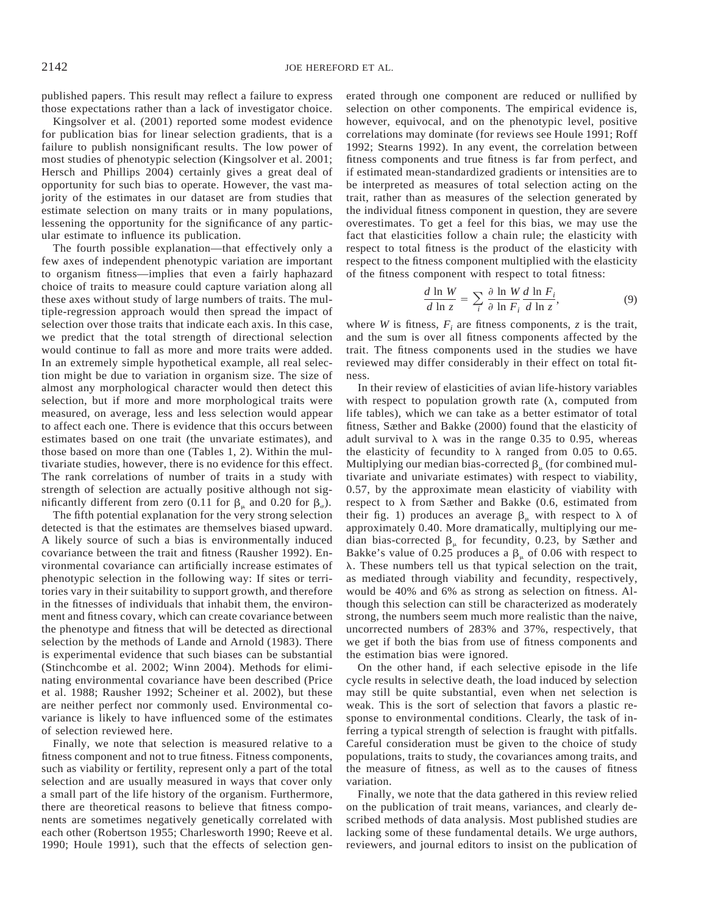published papers. This result may reflect a failure to express those expectations rather than a lack of investigator choice.

Kingsolver et al. (2001) reported some modest evidence for publication bias for linear selection gradients, that is a failure to publish nonsignificant results. The low power of most studies of phenotypic selection (Kingsolver et al. 2001; Hersch and Phillips 2004) certainly gives a great deal of opportunity for such bias to operate. However, the vast majority of the estimates in our dataset are from studies that estimate selection on many traits or in many populations, lessening the opportunity for the significance of any particular estimate to influence its publication.

The fourth possible explanation—that effectively only a few axes of independent phenotypic variation are important to organism fitness—implies that even a fairly haphazard choice of traits to measure could capture variation along all these axes without study of large numbers of traits. The multiple-regression approach would then spread the impact of selection over those traits that indicate each axis. In this case, we predict that the total strength of directional selection would continue to fall as more and more traits were added. In an extremely simple hypothetical example, all real selection might be due to variation in organism size. The size of almost any morphological character would then detect this selection, but if more and more morphological traits were measured, on average, less and less selection would appear to affect each one. There is evidence that this occurs between estimates based on one trait (the unvariate estimates), and those based on more than one (Tables 1, 2). Within the multivariate studies, however, there is no evidence for this effect. The rank correlations of number of traits in a study with strength of selection are actually positive although not significantly different from zero (0.11 for  $\beta_{\rm m}$  and 0.20 for  $\beta_{\rm m}$ ).

The fifth potential explanation for the very strong selection detected is that the estimates are themselves biased upward. A likely source of such a bias is environmentally induced covariance between the trait and fitness (Rausher 1992). Environmental covariance can artificially increase estimates of phenotypic selection in the following way: If sites or territories vary in their suitability to support growth, and therefore in the fitnesses of individuals that inhabit them, the environment and fitness covary, which can create covariance between the phenotype and fitness that will be detected as directional selection by the methods of Lande and Arnold (1983). There is experimental evidence that such biases can be substantial (Stinchcombe et al. 2002; Winn 2004). Methods for eliminating environmental covariance have been described (Price et al. 1988; Rausher 1992; Scheiner et al. 2002), but these are neither perfect nor commonly used. Environmental covariance is likely to have influenced some of the estimates of selection reviewed here.

Finally, we note that selection is measured relative to a fitness component and not to true fitness. Fitness components, such as viability or fertility, represent only a part of the total selection and are usually measured in ways that cover only a small part of the life history of the organism. Furthermore, there are theoretical reasons to believe that fitness components are sometimes negatively genetically correlated with each other (Robertson 1955; Charlesworth 1990; Reeve et al. 1990; Houle 1991), such that the effects of selection generated through one component are reduced or nullified by selection on other components. The empirical evidence is, however, equivocal, and on the phenotypic level, positive correlations may dominate (for reviews see Houle 1991; Roff 1992; Stearns 1992). In any event, the correlation between fitness components and true fitness is far from perfect, and if estimated mean-standardized gradients or intensities are to be interpreted as measures of total selection acting on the trait, rather than as measures of the selection generated by the individual fitness component in question, they are severe overestimates. To get a feel for this bias, we may use the fact that elasticities follow a chain rule; the elasticity with respect to total fitness is the product of the elasticity with respect to the fitness component multiplied with the elasticity of the fitness component with respect to total fitness:

$$
\frac{d \ln W}{d \ln z} = \sum_{i} \frac{\partial \ln W}{\partial \ln F_i} \frac{d \ln F_i}{d \ln z},
$$
\n(9)

where *W* is fitness,  $F_i$  are fitness components, *z* is the trait, and the sum is over all fitness components affected by the trait. The fitness components used in the studies we have reviewed may differ considerably in their effect on total fitness.

In their review of elasticities of avian life-history variables with respect to population growth rate  $(\lambda)$ , computed from life tables), which we can take as a better estimator of total fitness, Sæther and Bakke (2000) found that the elasticity of adult survival to  $\lambda$  was in the range 0.35 to 0.95, whereas the elasticity of fecundity to  $\lambda$  ranged from 0.05 to 0.65. Multiplying our median bias-corrected  $\beta_{\rm m}$  (for combined multivariate and univariate estimates) with respect to viability, 0.57, by the approximate mean elasticity of viability with respect to  $\lambda$  from Sæther and Bakke (0.6, estimated from their fig. 1) produces an average  $\beta_{\mu}$  with respect to  $\lambda$  of approximately 0.40. More dramatically, multiplying our median bias-corrected  $\beta_{\mu}$  for fecundity, 0.23, by Sæther and Bakke's value of 0.25 produces a  $\beta_{\mu}$  of 0.06 with respect to  $\lambda$ . These numbers tell us that typical selection on the trait, as mediated through viability and fecundity, respectively, would be 40% and 6% as strong as selection on fitness. Although this selection can still be characterized as moderately strong, the numbers seem much more realistic than the naive, uncorrected numbers of 283% and 37%, respectively, that we get if both the bias from use of fitness components and the estimation bias were ignored.

On the other hand, if each selective episode in the life cycle results in selective death, the load induced by selection may still be quite substantial, even when net selection is weak. This is the sort of selection that favors a plastic response to environmental conditions. Clearly, the task of inferring a typical strength of selection is fraught with pitfalls. Careful consideration must be given to the choice of study populations, traits to study, the covariances among traits, and the measure of fitness, as well as to the causes of fitness variation.

Finally, we note that the data gathered in this review relied on the publication of trait means, variances, and clearly described methods of data analysis. Most published studies are lacking some of these fundamental details. We urge authors, reviewers, and journal editors to insist on the publication of